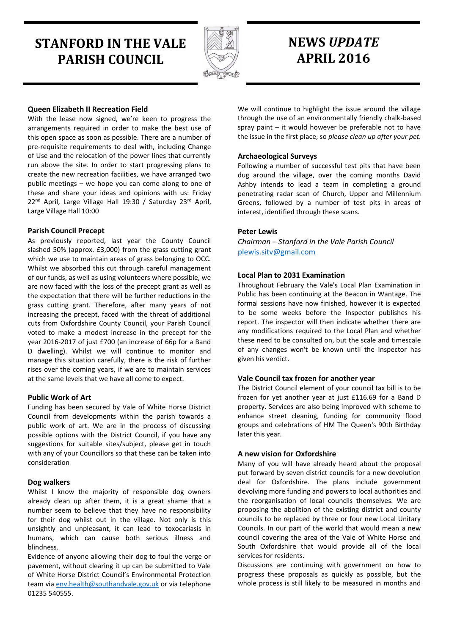# **STANFORD IN THE VALE PARISH COUNCIL**



# **NEWS** *UPDATE* **APRIL 2016**

# **Queen Elizabeth II Recreation Field**

With the lease now signed, we're keen to progress the arrangements required in order to make the best use of this open space as soon as possible. There are a number of pre-requisite requirements to deal with, including Change of Use and the relocation of the power lines that currently run above the site. In order to start progressing plans to create the new recreation facilities, we have arranged two public meetings – we hope you can come along to one of these and share your ideas and opinions with us: Friday 22<sup>nd</sup> April, Large Village Hall 19:30 / Saturday 23<sup>rd</sup> April, Large Village Hall 10:00

# **Parish Council Precept**

As previously reported, last year the County Council slashed 50% (approx. £3,000) from the grass cutting grant which we use to maintain areas of grass belonging to OCC. Whilst we absorbed this cut through careful management of our funds, as well as using volunteers where possible, we are now faced with the loss of the precept grant as well as the expectation that there will be further reductions in the grass cutting grant. Therefore, after many years of not increasing the precept, faced with the threat of additional cuts from Oxfordshire County Council, your Parish Council voted to make a modest increase in the precept for the year 2016-2017 of just £700 (an increase of 66p for a Band D dwelling). Whilst we will continue to monitor and manage this situation carefully, there is the risk of further rises over the coming years, if we are to maintain services at the same levels that we have all come to expect.

# **Public Work of Art**

Funding has been secured by Vale of White Horse District Council from developments within the parish towards a public work of art. We are in the process of discussing possible options with the District Council, if you have any suggestions for suitable sites/subject, please get in touch with any of your Councillors so that these can be taken into consideration

# **Dog walkers**

Whilst I know the majority of responsible dog owners already clean up after them, it is a great shame that a number seem to believe that they have no responsibility for their dog whilst out in the village. Not only is this unsightly and unpleasant, it can lead to toxocariasis in humans, which can cause both serious illness and blindness.

Evidence of anyone allowing their dog to foul the verge or pavement, without clearing it up can be submitted to Vale of White Horse District Council's Environmental Protection team via [env.health@southandvale.gov.uk](mailto:env.health@southandvale.gov.uk) or via telephone 01235 540555.

We will continue to highlight the issue around the village through the use of an environmentally friendly chalk-based spray paint – it would however be preferable not to have the issue in the first place, so *please clean up after your pet.* 

# **Archaeological Surveys**

Following a number of successful test pits that have been dug around the village, over the coming months David Ashby intends to lead a team in completing a ground penetrating radar scan of Church, Upper and Millennium Greens, followed by a number of test pits in areas of interest, identified through these scans.

# **Peter Lewis**

*Chairman – Stanford in the Vale Parish Council* [plewis.sitv@gmail.com](mailto:plewis.sitv@gmail.com)

# **Local Plan to 2031 Examination**

Throughout February the Vale's Local Plan Examination in Public has been continuing at the Beacon in Wantage. The formal sessions have now finished, however it is expected to be some weeks before the Inspector publishes his report. The inspector will then indicate whether there are any modifications required to the Local Plan and whether these need to be consulted on, but the scale and timescale of any changes won't be known until the Inspector has given his verdict.

# **Vale Council tax frozen for another year**

The District Council element of your council tax bill is to be frozen for yet another year at just £116.69 for a Band D property. Services are also being improved with scheme to enhance street cleaning, funding for community flood groups and celebrations of HM The Queen's 90th Birthday later this year.

# **A new vision for Oxfordshire**

Many of you will have already heard about the proposal put forward by seven district councils for a new devolution deal for Oxfordshire. The plans include government devolving more funding and powers to local authorities and the reorganisation of local councils themselves. We are proposing the abolition of the existing district and county councils to be replaced by three or four new Local Unitary Councils. In our part of the world that would mean a new council covering the area of the Vale of White Horse and South Oxfordshire that would provide all of the local services for residents.

Discussions are continuing with government on how to progress these proposals as quickly as possible, but the whole process is still likely to be measured in months and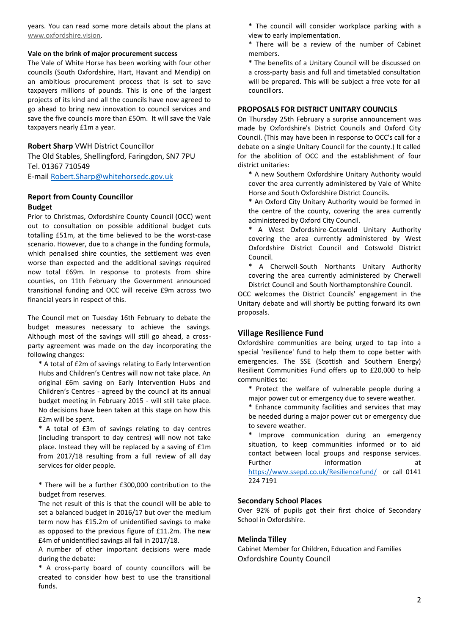years. You can read some more details about the plans at [www.oxfordshire.vision.](http://valevision.us7.list-manage1.com/track/click?u=13d77bd51fa65f9f7de4ba149&id=b17238e0b2&e=f80a5bf617)

#### **Vale on the brink of major procurement success**

The Vale of White Horse has been working with four other councils (South Oxfordshire, Hart, Havant and Mendip) on an ambitious procurement process that is set to save taxpayers millions of pounds. This is one of the largest projects of its kind and all the councils have now agreed to go ahead to bring new innovation to council services and save the five councils more than £50m. It will save the Vale taxpayers nearly £1m a year.

### **Robert Sharp** VWH District Councillor

The Old Stables, Shellingford, Faringdon, SN7 7PU Tel. 01367 710549

E-mail [Robert.Sharp@whitehorsedc.gov.uk](mailto:Robert.Sharp@whitehorsedc.gov.uk)

# **Report from County Councillor Budget**

Prior to Christmas, Oxfordshire County Council (OCC) went out to consultation on possible additional budget cuts totalling £51m, at the time believed to be the worst-case scenario. However, due to a change in the funding formula, which penalised shire counties, the settlement was even worse than expected and the additional savings required now total £69m. In response to protests from shire counties, on 11th February the Government announced transitional funding and OCC will receive £9m across two financial years in respect of this.

The Council met on Tuesday 16th February to debate the budget measures necessary to achieve the savings. Although most of the savings will still go ahead, a crossparty agreement was made on the day incorporating the following changes:

**\*** A total of £2m of savings relating to Early Intervention Hubs and Children's Centres will now not take place. An original £6m saving on Early Intervention Hubs and Children's Centres - agreed by the council at its annual budget meeting in February 2015 - will still take place. No decisions have been taken at this stage on how this £2m will be spent.

**\*** A total of £3m of savings relating to day centres (including transport to day centres) will now not take place. Instead they will be replaced by a saving of £1m from 2017/18 resulting from a full review of all day services for older people.

**\*** There will be a further £300,000 contribution to the budget from reserves.

The net result of this is that the council will be able to set a balanced budget in 2016/17 but over the medium term now has £15.2m of unidentified savings to make as opposed to the previous figure of £11.2m. The new £4m of unidentified savings all fall in 2017/18.

A number of other important decisions were made during the debate:

**\*** A cross-party board of county councillors will be created to consider how best to use the transitional funds.

**\*** The council will consider workplace parking with a view to early implementation.

\* There will be a review of the number of Cabinet members.

**\*** The benefits of a Unitary Council will be discussed on a cross-party basis and full and timetabled consultation will be prepared. This will be subject a free vote for all councillors.

## **PROPOSALS FOR DISTRICT UNITARY COUNCILS**

On Thursday 25th February a surprise announcement was made by Oxfordshire's District Councils and Oxford City Council. (This may have been in response to OCC's call for a debate on a single Unitary Council for the county.) It called for the abolition of OCC and the establishment of four district unitaries:

**\*** A new Southern Oxfordshire Unitary Authority would cover the area currently administered by Vale of White Horse and South Oxfordshire District Councils.

**\*** An Oxford City Unitary Authority would be formed in the centre of the county, covering the area currently administered by Oxford City Council.

**\*** A West Oxfordshire-Cotswold Unitary Authority covering the area currently administered by West Oxfordshire District Council and Cotswold District Council.

**\*** A Cherwell-South Northants Unitary Authority covering the area currently administered by Cherwell District Council and South Northamptonshire Council.

OCC welcomes the District Councils' engagement in the Unitary debate and will shortly be putting forward its own proposals.

# **Village Resilience Fund**

Oxfordshire communities are being urged to tap into a special 'resilience' fund to help them to cope better with emergencies. The SSE (Scottish and Southern Energy) Resilient Communities Fund offers up to £20,000 to help communities to:

**\*** Protect the welfare of vulnerable people during a major power cut or emergency due to severe weather.

**\*** Enhance community facilities and services that may be needed during a major power cut or emergency due to severe weather.

Improve communication during an emergency situation, to keep communities informed or to aid contact between local groups and response services. Further information at <https://www.ssepd.co.uk/Resiliencefund/> or call 0141 224 7191

#### **Secondary School Places**

Over 92% of pupils got their first choice of Secondary School in Oxfordshire.

# **Melinda Tilley**

Cabinet Member for Children, Education and Families Oxfordshire County Council